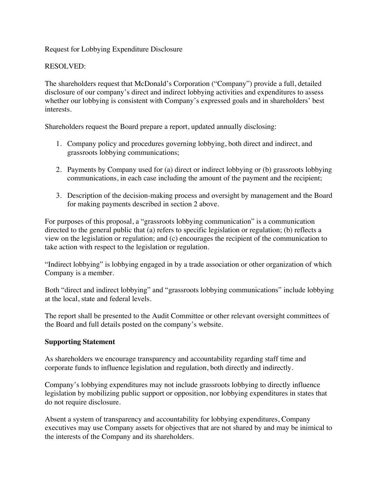Request for Lobbying Expenditure Disclosure

## RESOLVED:

The shareholders request that McDonald's Corporation ("Company") provide a full, detailed disclosure of our company's direct and indirect lobbying activities and expenditures to assess whether our lobbying is consistent with Company's expressed goals and in shareholders' best interests.

Shareholders request the Board prepare a report, updated annually disclosing:

- 1. Company policy and procedures governing lobbying, both direct and indirect, and grassroots lobbying communications;
- 2. Payments by Company used for (a) direct or indirect lobbying or (b) grassroots lobbying communications, in each case including the amount of the payment and the recipient;
- 3. Description of the decision-making process and oversight by management and the Board for making payments described in section 2 above.

For purposes of this proposal, a "grassroots lobbying communication" is a communication directed to the general public that (a) refers to specific legislation or regulation; (b) reflects a view on the legislation or regulation; and (c) encourages the recipient of the communication to take action with respect to the legislation or regulation.

"Indirect lobbying" is lobbying engaged in by a trade association or other organization of which Company is a member.

Both "direct and indirect lobbying" and "grassroots lobbying communications" include lobbying at the local, state and federal levels.

The report shall be presented to the Audit Committee or other relevant oversight committees of the Board and full details posted on the company's website.

## **Supporting Statement**

As shareholders we encourage transparency and accountability regarding staff time and corporate funds to influence legislation and regulation, both directly and indirectly.

Company's lobbying expenditures may not include grassroots lobbying to directly influence legislation by mobilizing public support or opposition, nor lobbying expenditures in states that do not require disclosure.

Absent a system of transparency and accountability for lobbying expenditures, Company executives may use Company assets for objectives that are not shared by and may be inimical to the interests of the Company and its shareholders.